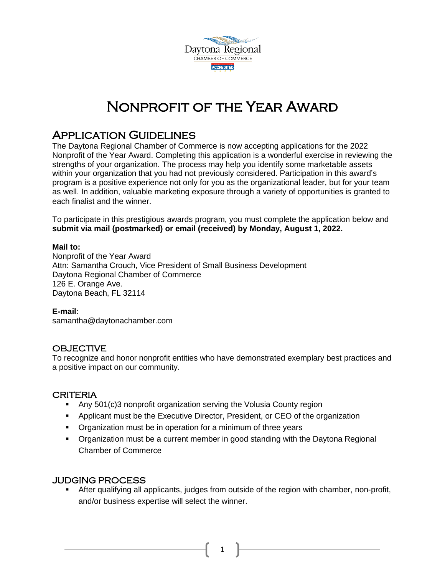

# Nonprofit of the Year Award

## Application Guidelines

The Daytona Regional Chamber of Commerce is now accepting applications for the 2022 Nonprofit of the Year Award. Completing this application is a wonderful exercise in reviewing the strengths of your organization. The process may help you identify some marketable assets within your organization that you had not previously considered. Participation in this award's program is a positive experience not only for you as the organizational leader, but for your team as well. In addition, valuable marketing exposure through a variety of opportunities is granted to each finalist and the winner.

To participate in this prestigious awards program, you must complete the application below and **submit via mail (postmarked) or email (received) by Monday, August 1, 2022.**

#### **Mail to:**

Nonprofit of the Year Award Attn: Samantha Crouch, Vice President of Small Business Development Daytona Regional Chamber of Commerce 126 E. Orange Ave. Daytona Beach, FL 32114

### **E-mail**:

samantha@daytonachamber.com

## **OBJECTIVE**

To recognize and honor nonprofit entities who have demonstrated exemplary best practices and a positive impact on our community.

### CRITERIA

- **EXECT** Any 501(c)3 nonprofit organization serving the Volusia County region
- Applicant must be the Executive Director, President, or CEO of the organization
- **•** Organization must be in operation for a minimum of three years
- Organization must be a current member in good standing with the Daytona Regional Chamber of Commerce

### JUDGING PROCESS

After qualifying all applicants, judges from outside of the region with chamber, non-profit, and/or business expertise will select the winner.

1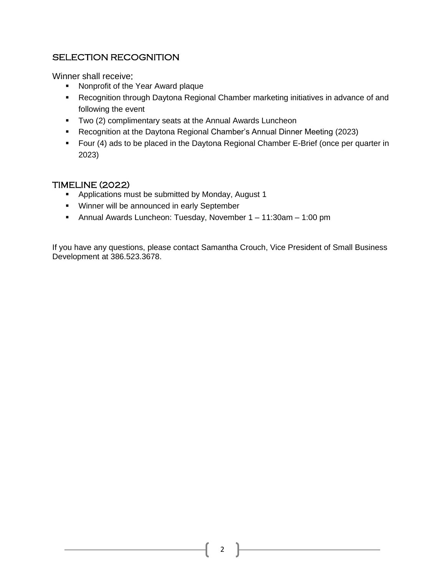## SELECTION RECOGNITION

Winner shall receive:

- Nonprofit of the Year Award plaque
- Recognition through Daytona Regional Chamber marketing initiatives in advance of and following the event
- Two (2) complimentary seats at the Annual Awards Luncheon
- Recognition at the Daytona Regional Chamber's Annual Dinner Meeting (2023)
- Four (4) ads to be placed in the Daytona Regional Chamber E-Brief (once per quarter in 2023)

## TIMELINE (2022)

- Applications must be submitted by Monday, August 1
- Winner will be announced in early September
- Annual Awards Luncheon: Tuesday, November 1 11:30am 1:00 pm

If you have any questions, please contact Samantha Crouch, Vice President of Small Business Development at 386.523.3678.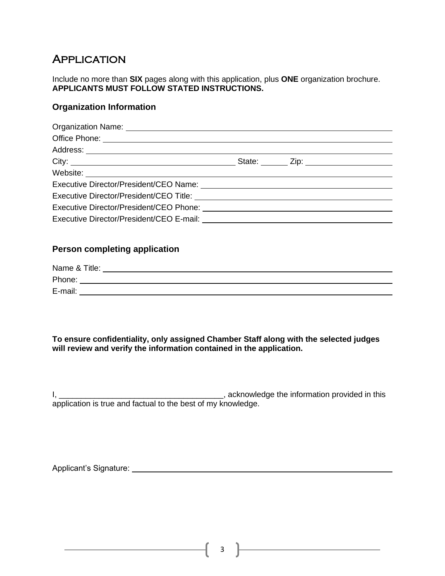# **APPLICATION**

Include no more than **SIX** pages along with this application, plus **ONE** organization brochure. **APPLICANTS MUST FOLLOW STATED INSTRUCTIONS.** 

## **Organization Information**

|  | Executive Director/President/CEO Name: 2008 2009 2010 2021 2022 2023 2024 2022 2023 2024 2022 2023 2024 2022 20<br>Executive Director/President/CEO Phone: 2008 2009 2010 2021 2022 2023 2024 2022 2023 2024 2022 2023 2024 2022 |
|--|----------------------------------------------------------------------------------------------------------------------------------------------------------------------------------------------------------------------------------|

## **Person completing application**

| Name & Title: |  |
|---------------|--|
| Phone:        |  |
| E-mail:       |  |

**To ensure confidentiality, only assigned Chamber Staff along with the selected judges will review and verify the information contained in the application.**

I, \_\_\_\_\_\_\_\_\_\_\_\_\_\_\_\_\_\_\_\_\_\_\_\_\_\_\_\_\_\_\_\_\_\_\_\_\_, acknowledge the information provided in this application is true and factual to the best of my knowledge.

Applicant's Signature: <u>Community Community of Community Community Community Community Community Community Community Community Community Community Community Community Community Community Community Community Community Commu</u>

 $\overline{\phantom{a}3}$